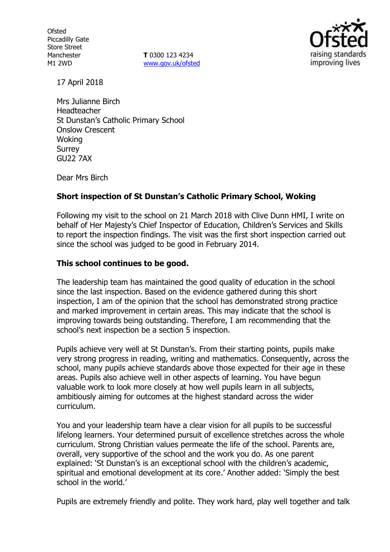**Ofsted** Piccadilly Gate Store Street Manchester M1 2WD

**T** 0300 123 4234 www.gov.uk/ofsted



17 April 2018

Mrs Julianne Birch Headteacher St Dunstan's Catholic Primary School Onslow Crescent Woking Surrey GU22 7AX

Dear Mrs Birch

## **Short inspection of St Dunstan's Catholic Primary School, Woking**

Following my visit to the school on 21 March 2018 with Clive Dunn HMI, I write on behalf of Her Majesty's Chief Inspector of Education, Children's Services and Skills to report the inspection findings. The visit was the first short inspection carried out since the school was judged to be good in February 2014.

## **This school continues to be good.**

The leadership team has maintained the good quality of education in the school since the last inspection. Based on the evidence gathered during this short inspection, I am of the opinion that the school has demonstrated strong practice and marked improvement in certain areas. This may indicate that the school is improving towards being outstanding. Therefore, I am recommending that the school's next inspection be a section 5 inspection.

Pupils achieve very well at St Dunstan's. From their starting points, pupils make very strong progress in reading, writing and mathematics. Consequently, across the school, many pupils achieve standards above those expected for their age in these areas. Pupils also achieve well in other aspects of learning. You have begun valuable work to look more closely at how well pupils learn in all subjects, ambitiously aiming for outcomes at the highest standard across the wider curriculum.

You and your leadership team have a clear vision for all pupils to be successful lifelong learners. Your determined pursuit of excellence stretches across the whole curriculum. Strong Christian values permeate the life of the school. Parents are, overall, very supportive of the school and the work you do. As one parent explained: 'St Dunstan's is an exceptional school with the children's academic, spiritual and emotional development at its core.' Another added: 'Simply the best school in the world.'

Pupils are extremely friendly and polite. They work hard, play well together and talk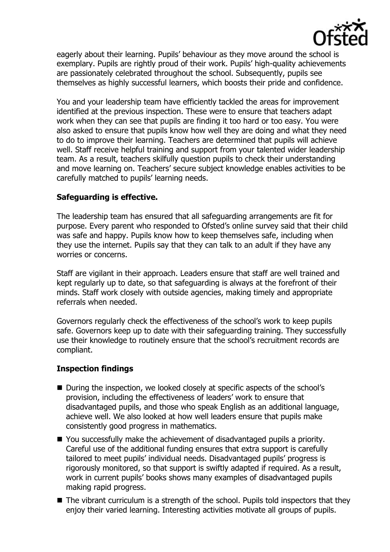

eagerly about their learning. Pupils' behaviour as they move around the school is exemplary. Pupils are rightly proud of their work. Pupils' high-quality achievements are passionately celebrated throughout the school. Subsequently, pupils see themselves as highly successful learners, which boosts their pride and confidence.

You and your leadership team have efficiently tackled the areas for improvement identified at the previous inspection. These were to ensure that teachers adapt work when they can see that pupils are finding it too hard or too easy. You were also asked to ensure that pupils know how well they are doing and what they need to do to improve their learning. Teachers are determined that pupils will achieve well. Staff receive helpful training and support from your talented wider leadership team. As a result, teachers skilfully question pupils to check their understanding and move learning on. Teachers' secure subject knowledge enables activities to be carefully matched to pupils' learning needs.

## **Safeguarding is effective.**

The leadership team has ensured that all safeguarding arrangements are fit for purpose. Every parent who responded to Ofsted's online survey said that their child was safe and happy. Pupils know how to keep themselves safe, including when they use the internet. Pupils say that they can talk to an adult if they have any worries or concerns.

Staff are vigilant in their approach. Leaders ensure that staff are well trained and kept regularly up to date, so that safeguarding is always at the forefront of their minds. Staff work closely with outside agencies, making timely and appropriate referrals when needed.

Governors regularly check the effectiveness of the school's work to keep pupils safe. Governors keep up to date with their safeguarding training. They successfully use their knowledge to routinely ensure that the school's recruitment records are compliant.

# **Inspection findings**

- During the inspection, we looked closely at specific aspects of the school's provision, including the effectiveness of leaders' work to ensure that disadvantaged pupils, and those who speak English as an additional language, achieve well. We also looked at how well leaders ensure that pupils make consistently good progress in mathematics.
- You successfully make the achievement of disadvantaged pupils a priority. Careful use of the additional funding ensures that extra support is carefully tailored to meet pupils' individual needs. Disadvantaged pupils' progress is rigorously monitored, so that support is swiftly adapted if required. As a result, work in current pupils' books shows many examples of disadvantaged pupils making rapid progress.
- The vibrant curriculum is a strength of the school. Pupils told inspectors that they enjoy their varied learning. Interesting activities motivate all groups of pupils.